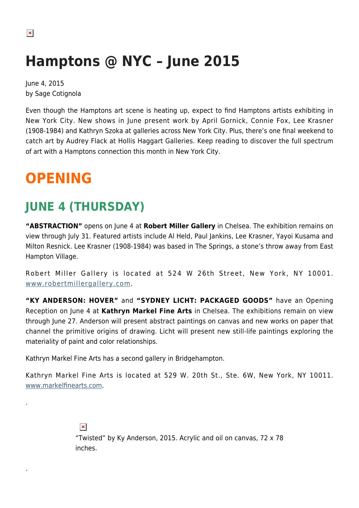# **Hamptons @ NYC – June 2015**

June 4, 2015 by Sage Cotignola

Even though the Hamptons art scene is heating up, expect to find Hamptons artists exhibiting in New York City. New shows in June present work by April Gornick, Connie Fox, Lee Krasner (1908-1984) and Kathryn Szoka at galleries across New York City. Plus, there's one final weekend to catch art by Audrey Flack at Hollis Haggart Galleries. Keep reading to discover the full spectrum of art with a Hamptons connection this month in New York City.

# **OPENING**

.

.

### **JUNE 4 (THURSDAY)**

**"ABSTRACTION"** opens on June 4 at **Robert Miller Gallery** in Chelsea. The exhibition remains on view through July 31. Featured artists include Al Held, Paul Jankins, Lee Krasner, Yayoi Kusama and Milton Resnick. Lee Krasner (1908-1984) was based in The Springs, a stone's throw away from East Hampton Village.

Robert Miller Gallery is located at 524 W 26th Street, New York, NY 10001. [www.robertmillergallery.com.](http://www.robertmillergallery.com)

**"KY ANDERSON: HOVER"** and **"SYDNEY LICHT: PACKAGED GOODS"** have an Opening Reception on June 4 at **Kathryn Markel Fine Arts** in Chelsea. The exhibitions remain on view through June 27. Anderson will present abstract paintings on canvas and new works on paper that channel the primitive origins of drawing. Licht will present new still-life paintings exploring the materiality of paint and color relationships.

Kathryn Markel Fine Arts has a second gallery in Bridgehampton.

Kathryn Markel Fine Arts is located at 529 W. 20th St., Ste. 6W, New York, NY 10011. [www.markelfinearts.com](http://www.markelfinearts.com).

> $\pmb{\times}$ "Twisted" by Ky Anderson, 2015. Acrylic and oil on canvas, 72 x 78 inches.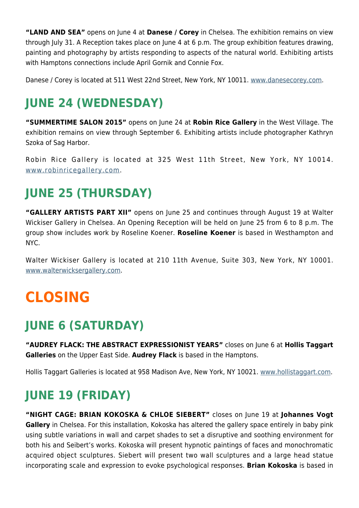**"LAND AND SEA"** opens on June 4 at **Danese / Corey** in Chelsea. The exhibition remains on view through July 31. A Reception takes place on June 4 at 6 p.m. The group exhibition features drawing, painting and photography by artists responding to aspects of the natural world. Exhibiting artists with Hamptons connections include April Gornik and Connie Fox.

Danese / Corey is located at 511 West 22nd Street, New York, NY 10011. [www.danesecorey.com.](http://www.danesecorey.com)

### **JUNE 24 (WEDNESDAY)**

**"SUMMERTIME SALON 2015"** opens on June 24 at **Robin Rice Gallery** in the West Village. The exhibition remains on view through September 6. Exhibiting artists include photographer Kathryn Szoka of Sag Harbor.

Robin Rice Gallery is located at 325 West 11th Street, New York, NY 10014. [www.robinricegallery.com.](http://www.robinricegallery.com)

### **JUNE 25 (THURSDAY)**

**"GALLERY ARTISTS PART XII"** opens on June 25 and continues through August 19 at Walter Wickiser Gallery in Chelsea. An Opening Reception will be held on June 25 from 6 to 8 p.m. The group show includes work by Roseline Koener. **Roseline Koener** is based in Westhampton and NYC.

Walter Wickiser Gallery is located at 210 11th Avenue, Suite 303, New York, NY 10001. [www.walterwicksergallery.com.](http://www.walterwicksergallery.com)

# **CLOSING**

### **JUNE 6 (SATURDAY)**

**"AUDREY FLACK: THE ABSTRACT EXPRESSIONIST YEARS"** closes on June 6 at **Hollis Taggart Galleries** on the Upper East Side. **Audrey Flack** is based in the Hamptons.

Hollis Taggart Galleries is located at 958 Madison Ave, New York, NY 10021. [www.hollistaggart.com.](http://www.hollistaggart.com)

### **JUNE 19 (FRIDAY)**

**"NIGHT CAGE: BRIAN KOKOSKA & CHLOE SIEBERT"** closes on June 19 at **Johannes Vogt Gallery** in Chelsea. For this installation, Kokoska has altered the gallery space entirely in baby pink using subtle variations in wall and carpet shades to set a disruptive and soothing environment for both his and Seibert's works. Kokoska will present hypnotic paintings of faces and monochromatic acquired object sculptures. Siebert will present two wall sculptures and a large head statue incorporating scale and expression to evoke psychological responses. **Brian Kokoska** is based in